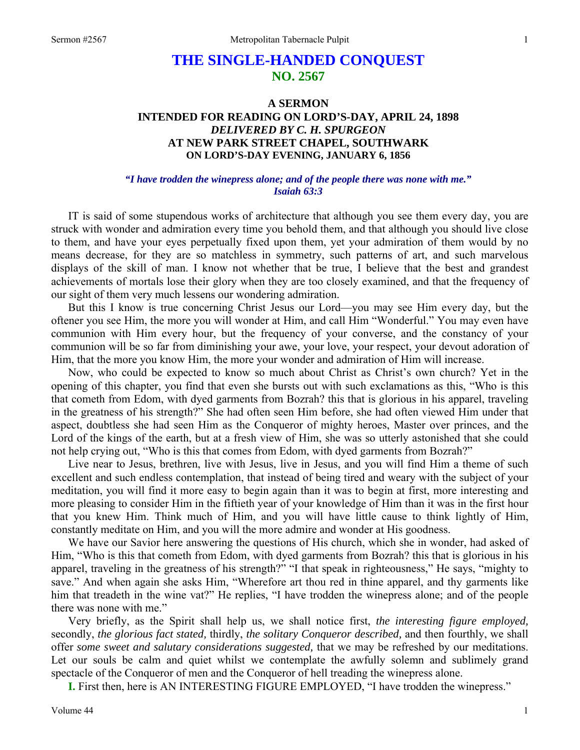# **THE SINGLE-HANDED CONQUEST NO. 2567**

## **A SERMON INTENDED FOR READING ON LORD'S-DAY, APRIL 24, 1898**  *DELIVERED BY C. H. SPURGEON*  **AT NEW PARK STREET CHAPEL, SOUTHWARK ON LORD'S-DAY EVENING, JANUARY 6, 1856**

#### *"I have trodden the winepress alone; and of the people there was none with me." Isaiah 63:3*

IT is said of some stupendous works of architecture that although you see them every day, you are struck with wonder and admiration every time you behold them, and that although you should live close to them, and have your eyes perpetually fixed upon them, yet your admiration of them would by no means decrease, for they are so matchless in symmetry, such patterns of art, and such marvelous displays of the skill of man. I know not whether that be true, I believe that the best and grandest achievements of mortals lose their glory when they are too closely examined, and that the frequency of our sight of them very much lessens our wondering admiration.

But this I know is true concerning Christ Jesus our Lord—you may see Him every day, but the oftener you see Him, the more you will wonder at Him, and call Him "Wonderful." You may even have communion with Him every hour, but the frequency of your converse, and the constancy of your communion will be so far from diminishing your awe, your love, your respect, your devout adoration of Him, that the more you know Him, the more your wonder and admiration of Him will increase.

Now, who could be expected to know so much about Christ as Christ's own church? Yet in the opening of this chapter, you find that even she bursts out with such exclamations as this, "Who is this that cometh from Edom, with dyed garments from Bozrah? this that is glorious in his apparel, traveling in the greatness of his strength?" She had often seen Him before, she had often viewed Him under that aspect, doubtless she had seen Him as the Conqueror of mighty heroes, Master over princes, and the Lord of the kings of the earth, but at a fresh view of Him, she was so utterly astonished that she could not help crying out, "Who is this that comes from Edom, with dyed garments from Bozrah?"

Live near to Jesus, brethren, live with Jesus, live in Jesus, and you will find Him a theme of such excellent and such endless contemplation, that instead of being tired and weary with the subject of your meditation, you will find it more easy to begin again than it was to begin at first, more interesting and more pleasing to consider Him in the fiftieth year of your knowledge of Him than it was in the first hour that you knew Him. Think much of Him, and you will have little cause to think lightly of Him, constantly meditate on Him, and you will the more admire and wonder at His goodness.

We have our Savior here answering the questions of His church, which she in wonder, had asked of Him, "Who is this that cometh from Edom, with dyed garments from Bozrah? this that is glorious in his apparel, traveling in the greatness of his strength?" "I that speak in righteousness," He says, "mighty to save." And when again she asks Him, "Wherefore art thou red in thine apparel, and thy garments like him that treadeth in the wine vat?" He replies, "I have trodden the winepress alone; and of the people there was none with me."

Very briefly, as the Spirit shall help us, we shall notice first, *the interesting figure employed,*  secondly, *the glorious fact stated,* thirdly, *the solitary Conqueror described,* and then fourthly, we shall offer *some sweet and salutary considerations suggested,* that we may be refreshed by our meditations. Let our souls be calm and quiet whilst we contemplate the awfully solemn and sublimely grand spectacle of the Conqueror of men and the Conqueror of hell treading the winepress alone.

**I.** First then, here is AN INTERESTING FIGURE EMPLOYED, "I have trodden the winepress."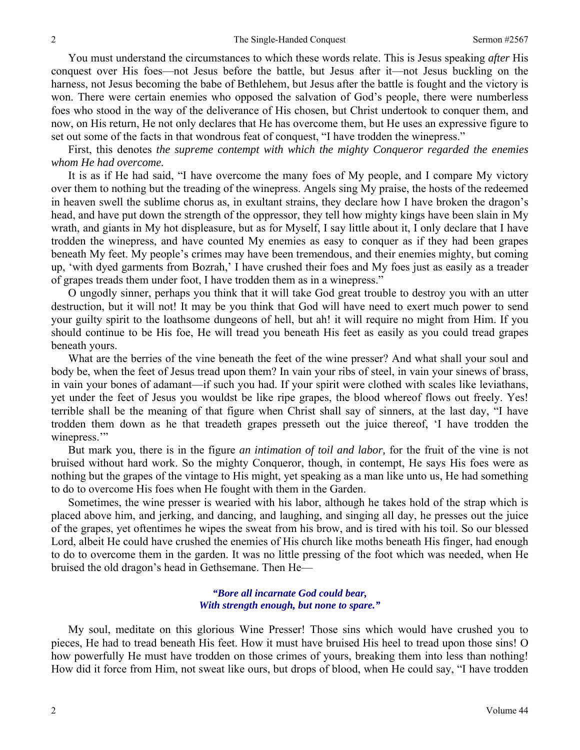You must understand the circumstances to which these words relate. This is Jesus speaking *after* His conquest over His foes—not Jesus before the battle, but Jesus after it—not Jesus buckling on the harness, not Jesus becoming the babe of Bethlehem, but Jesus after the battle is fought and the victory is won. There were certain enemies who opposed the salvation of God's people, there were numberless foes who stood in the way of the deliverance of His chosen, but Christ undertook to conquer them, and now, on His return, He not only declares that He has overcome them, but He uses an expressive figure to set out some of the facts in that wondrous feat of conquest, "I have trodden the winepress."

First, this denotes *the supreme contempt with which the mighty Conqueror regarded the enemies whom He had overcome.* 

It is as if He had said, "I have overcome the many foes of My people, and I compare My victory over them to nothing but the treading of the winepress. Angels sing My praise, the hosts of the redeemed in heaven swell the sublime chorus as, in exultant strains, they declare how I have broken the dragon's head, and have put down the strength of the oppressor, they tell how mighty kings have been slain in My wrath, and giants in My hot displeasure, but as for Myself, I say little about it, I only declare that I have trodden the winepress, and have counted My enemies as easy to conquer as if they had been grapes beneath My feet. My people's crimes may have been tremendous, and their enemies mighty, but coming up, 'with dyed garments from Bozrah,' I have crushed their foes and My foes just as easily as a treader of grapes treads them under foot, I have trodden them as in a winepress."

O ungodly sinner, perhaps you think that it will take God great trouble to destroy you with an utter destruction, but it will not! It may be you think that God will have need to exert much power to send your guilty spirit to the loathsome dungeons of hell, but ah! it will require no might from Him. If you should continue to be His foe, He will tread you beneath His feet as easily as you could tread grapes beneath yours.

What are the berries of the vine beneath the feet of the wine presser? And what shall your soul and body be, when the feet of Jesus tread upon them? In vain your ribs of steel, in vain your sinews of brass, in vain your bones of adamant—if such you had. If your spirit were clothed with scales like leviathans, yet under the feet of Jesus you wouldst be like ripe grapes, the blood whereof flows out freely. Yes! terrible shall be the meaning of that figure when Christ shall say of sinners, at the last day, "I have trodden them down as he that treadeth grapes presseth out the juice thereof, 'I have trodden the winepress."

But mark you, there is in the figure *an intimation of toil and labor,* for the fruit of the vine is not bruised without hard work. So the mighty Conqueror, though, in contempt, He says His foes were as nothing but the grapes of the vintage to His might, yet speaking as a man like unto us, He had something to do to overcome His foes when He fought with them in the Garden.

Sometimes, the wine presser is wearied with his labor, although he takes hold of the strap which is placed above him, and jerking, and dancing, and laughing, and singing all day, he presses out the juice of the grapes, yet oftentimes he wipes the sweat from his brow, and is tired with his toil. So our blessed Lord, albeit He could have crushed the enemies of His church like moths beneath His finger, had enough to do to overcome them in the garden. It was no little pressing of the foot which was needed, when He bruised the old dragon's head in Gethsemane. Then He—

## *"Bore all incarnate God could bear, With strength enough, but none to spare."*

My soul, meditate on this glorious Wine Presser! Those sins which would have crushed you to pieces, He had to tread beneath His feet. How it must have bruised His heel to tread upon those sins! O how powerfully He must have trodden on those crimes of yours, breaking them into less than nothing! How did it force from Him, not sweat like ours, but drops of blood, when He could say, "I have trodden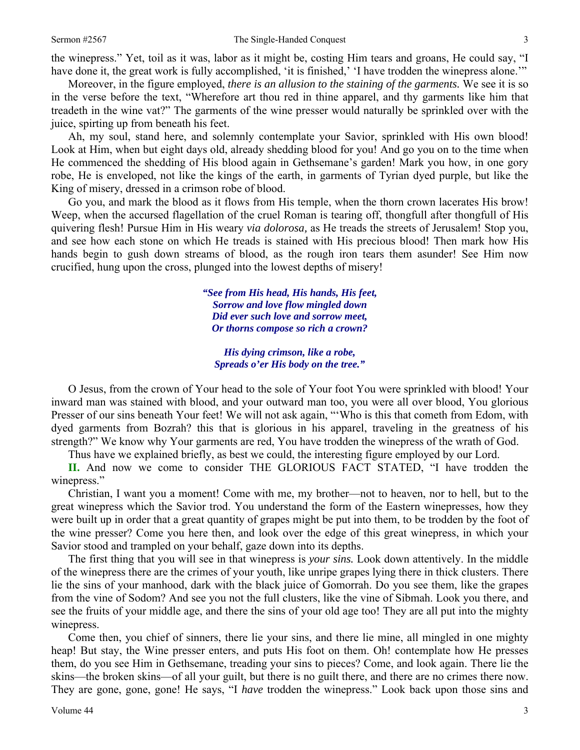the winepress." Yet, toil as it was, labor as it might be, costing Him tears and groans, He could say, "I have done it, the great work is fully accomplished, 'it is finished,' 'I have trodden the winepress alone.'"

Moreover, in the figure employed, *there is an allusion to the staining of the garments.* We see it is so in the verse before the text, "Wherefore art thou red in thine apparel, and thy garments like him that treadeth in the wine vat?" The garments of the wine presser would naturally be sprinkled over with the juice, spirting up from beneath his feet.

Ah, my soul, stand here, and solemnly contemplate your Savior, sprinkled with His own blood! Look at Him, when but eight days old, already shedding blood for you! And go you on to the time when He commenced the shedding of His blood again in Gethsemane's garden! Mark you how, in one gory robe, He is enveloped, not like the kings of the earth, in garments of Tyrian dyed purple, but like the King of misery, dressed in a crimson robe of blood.

Go you, and mark the blood as it flows from His temple, when the thorn crown lacerates His brow! Weep, when the accursed flagellation of the cruel Roman is tearing off, thongfull after thongfull of His quivering flesh! Pursue Him in His weary *via dolorosa,* as He treads the streets of Jerusalem! Stop you, and see how each stone on which He treads is stained with His precious blood! Then mark how His hands begin to gush down streams of blood, as the rough iron tears them asunder! See Him now crucified, hung upon the cross, plunged into the lowest depths of misery!

> *"See from His head, His hands, His feet, Sorrow and love flow mingled down Did ever such love and sorrow meet, Or thorns compose so rich a crown?*

*His dying crimson, like a robe, Spreads o'er His body on the tree."* 

O Jesus, from the crown of Your head to the sole of Your foot You were sprinkled with blood! Your inward man was stained with blood, and your outward man too, you were all over blood, You glorious Presser of our sins beneath Your feet! We will not ask again, "'Who is this that cometh from Edom, with dyed garments from Bozrah? this that is glorious in his apparel, traveling in the greatness of his strength?" We know why Your garments are red, You have trodden the winepress of the wrath of God.

Thus have we explained briefly, as best we could, the interesting figure employed by our Lord.

**II.** And now we come to consider THE GLORIOUS FACT STATED, "I have trodden the winepress."

Christian, I want you a moment! Come with me, my brother—not to heaven, nor to hell, but to the great winepress which the Savior trod. You understand the form of the Eastern winepresses, how they were built up in order that a great quantity of grapes might be put into them, to be trodden by the foot of the wine presser? Come you here then, and look over the edge of this great winepress, in which your Savior stood and trampled on your behalf, gaze down into its depths.

The first thing that you will see in that winepress is *your sins.* Look down attentively. In the middle of the winepress there are the crimes of your youth, like unripe grapes lying there in thick clusters. There lie the sins of your manhood, dark with the black juice of Gomorrah. Do you see them, like the grapes from the vine of Sodom? And see you not the full clusters, like the vine of Sibmah. Look you there, and see the fruits of your middle age, and there the sins of your old age too! They are all put into the mighty winepress.

Come then, you chief of sinners, there lie your sins, and there lie mine, all mingled in one mighty heap! But stay, the Wine presser enters, and puts His foot on them. Oh! contemplate how He presses them, do you see Him in Gethsemane, treading your sins to pieces? Come, and look again. There lie the skins—the broken skins—of all your guilt, but there is no guilt there, and there are no crimes there now. They are gone, gone, gone! He says, "I *have* trodden the winepress." Look back upon those sins and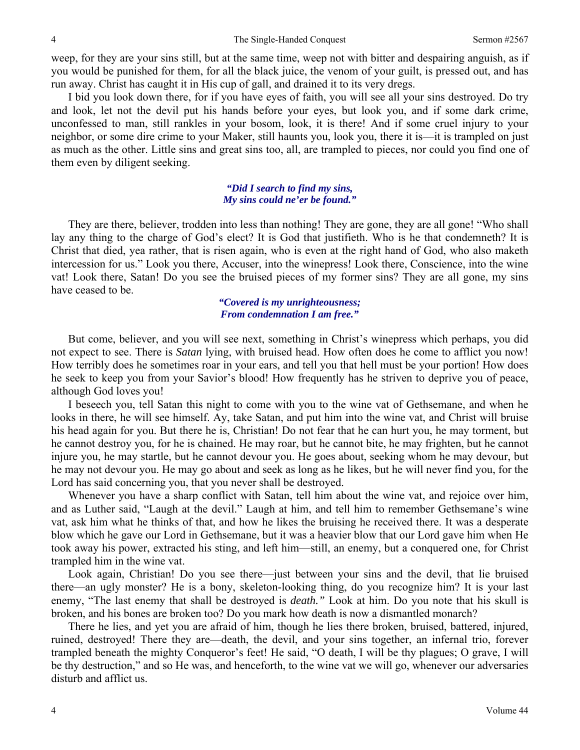weep, for they are your sins still, but at the same time, weep not with bitter and despairing anguish, as if you would be punished for them, for all the black juice, the venom of your guilt, is pressed out, and has run away. Christ has caught it in His cup of gall, and drained it to its very dregs.

I bid you look down there, for if you have eyes of faith, you will see all your sins destroyed. Do try and look, let not the devil put his hands before your eyes, but look you, and if some dark crime, unconfessed to man, still rankles in your bosom, look, it is there! And if some cruel injury to your neighbor, or some dire crime to your Maker, still haunts you, look you, there it is—it is trampled on just as much as the other. Little sins and great sins too, all, are trampled to pieces, nor could you find one of them even by diligent seeking.

## *"Did I search to find my sins, My sins could ne'er be found."*

They are there, believer, trodden into less than nothing! They are gone, they are all gone! "Who shall lay any thing to the charge of God's elect? It is God that justifieth. Who is he that condemneth? It is Christ that died, yea rather, that is risen again, who is even at the right hand of God, who also maketh intercession for us." Look you there, Accuser, into the winepress! Look there, Conscience, into the wine vat! Look there, Satan! Do you see the bruised pieces of my former sins? They are all gone, my sins have ceased to be.

## *"Covered is my unrighteousness; From condemnation I am free."*

But come, believer, and you will see next, something in Christ's winepress which perhaps, you did not expect to see. There is *Satan* lying, with bruised head. How often does he come to afflict you now! How terribly does he sometimes roar in your ears, and tell you that hell must be your portion! How does he seek to keep you from your Savior's blood! How frequently has he striven to deprive you of peace, although God loves you!

I beseech you, tell Satan this night to come with you to the wine vat of Gethsemane, and when he looks in there, he will see himself. Ay, take Satan, and put him into the wine vat, and Christ will bruise his head again for you. But there he is, Christian! Do not fear that he can hurt you, he may torment, but he cannot destroy you, for he is chained. He may roar, but he cannot bite, he may frighten, but he cannot injure you, he may startle, but he cannot devour you. He goes about, seeking whom he may devour, but he may not devour you. He may go about and seek as long as he likes, but he will never find you, for the Lord has said concerning you, that you never shall be destroyed.

Whenever you have a sharp conflict with Satan, tell him about the wine vat, and rejoice over him, and as Luther said, "Laugh at the devil." Laugh at him, and tell him to remember Gethsemane's wine vat, ask him what he thinks of that, and how he likes the bruising he received there. It was a desperate blow which he gave our Lord in Gethsemane, but it was a heavier blow that our Lord gave him when He took away his power, extracted his sting, and left him—still, an enemy, but a conquered one, for Christ trampled him in the wine vat.

Look again, Christian! Do you see there—just between your sins and the devil, that lie bruised there—an ugly monster? He is a bony, skeleton-looking thing, do you recognize him? It is your last enemy, "The last enemy that shall be destroyed is *death."* Look at him. Do you note that his skull is broken, and his bones are broken too? Do you mark how death is now a dismantled monarch?

There he lies, and yet you are afraid of him, though he lies there broken, bruised, battered, injured, ruined, destroyed! There they are—death, the devil, and your sins together, an infernal trio, forever trampled beneath the mighty Conqueror's feet! He said, "O death, I will be thy plagues; O grave, I will be thy destruction," and so He was, and henceforth, to the wine vat we will go, whenever our adversaries disturb and afflict us.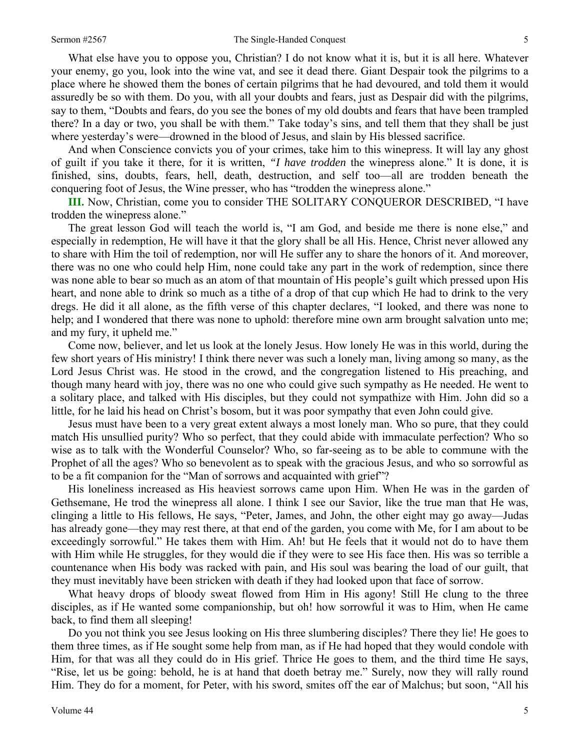What else have you to oppose you, Christian? I do not know what it is, but it is all here. Whatever your enemy, go you, look into the wine vat, and see it dead there. Giant Despair took the pilgrims to a place where he showed them the bones of certain pilgrims that he had devoured, and told them it would assuredly be so with them. Do you, with all your doubts and fears, just as Despair did with the pilgrims, say to them, "Doubts and fears, do you see the bones of my old doubts and fears that have been trampled there? In a day or two, you shall be with them." Take today's sins, and tell them that they shall be just where yesterday's were—drowned in the blood of Jesus, and slain by His blessed sacrifice.

And when Conscience convicts you of your crimes, take him to this winepress. It will lay any ghost of guilt if you take it there, for it is written, *"I have trodden* the winepress alone." It is done, it is finished, sins, doubts, fears, hell, death, destruction, and self too—all are trodden beneath the conquering foot of Jesus, the Wine presser, who has "trodden the winepress alone."

**III.** Now, Christian, come you to consider THE SOLITARY CONQUEROR DESCRIBED, "I have trodden the winepress alone."

The great lesson God will teach the world is, "I am God, and beside me there is none else," and especially in redemption, He will have it that the glory shall be all His. Hence, Christ never allowed any to share with Him the toil of redemption, nor will He suffer any to share the honors of it. And moreover, there was no one who could help Him, none could take any part in the work of redemption, since there was none able to bear so much as an atom of that mountain of His people's guilt which pressed upon His heart, and none able to drink so much as a tithe of a drop of that cup which He had to drink to the very dregs. He did it all alone, as the fifth verse of this chapter declares, "I looked, and there was none to help; and I wondered that there was none to uphold: therefore mine own arm brought salvation unto me; and my fury, it upheld me."

Come now, believer, and let us look at the lonely Jesus. How lonely He was in this world, during the few short years of His ministry! I think there never was such a lonely man, living among so many, as the Lord Jesus Christ was. He stood in the crowd, and the congregation listened to His preaching, and though many heard with joy, there was no one who could give such sympathy as He needed. He went to a solitary place, and talked with His disciples, but they could not sympathize with Him. John did so a little, for he laid his head on Christ's bosom, but it was poor sympathy that even John could give.

Jesus must have been to a very great extent always a most lonely man. Who so pure, that they could match His unsullied purity? Who so perfect, that they could abide with immaculate perfection? Who so wise as to talk with the Wonderful Counselor? Who, so far-seeing as to be able to commune with the Prophet of all the ages? Who so benevolent as to speak with the gracious Jesus, and who so sorrowful as to be a fit companion for the "Man of sorrows and acquainted with grief"?

His loneliness increased as His heaviest sorrows came upon Him. When He was in the garden of Gethsemane, He trod the winepress all alone. I think I see our Savior, like the true man that He was, clinging a little to His fellows, He says, "Peter, James, and John, the other eight may go away—Judas has already gone—they may rest there, at that end of the garden, you come with Me, for I am about to be exceedingly sorrowful." He takes them with Him. Ah! but He feels that it would not do to have them with Him while He struggles, for they would die if they were to see His face then. His was so terrible a countenance when His body was racked with pain, and His soul was bearing the load of our guilt, that they must inevitably have been stricken with death if they had looked upon that face of sorrow.

What heavy drops of bloody sweat flowed from Him in His agony! Still He clung to the three disciples, as if He wanted some companionship, but oh! how sorrowful it was to Him, when He came back, to find them all sleeping!

Do you not think you see Jesus looking on His three slumbering disciples? There they lie! He goes to them three times, as if He sought some help from man, as if He had hoped that they would condole with Him, for that was all they could do in His grief. Thrice He goes to them, and the third time He says, "Rise, let us be going: behold, he is at hand that doeth betray me." Surely, now they will rally round Him. They do for a moment, for Peter, with his sword, smites off the ear of Malchus; but soon, "All his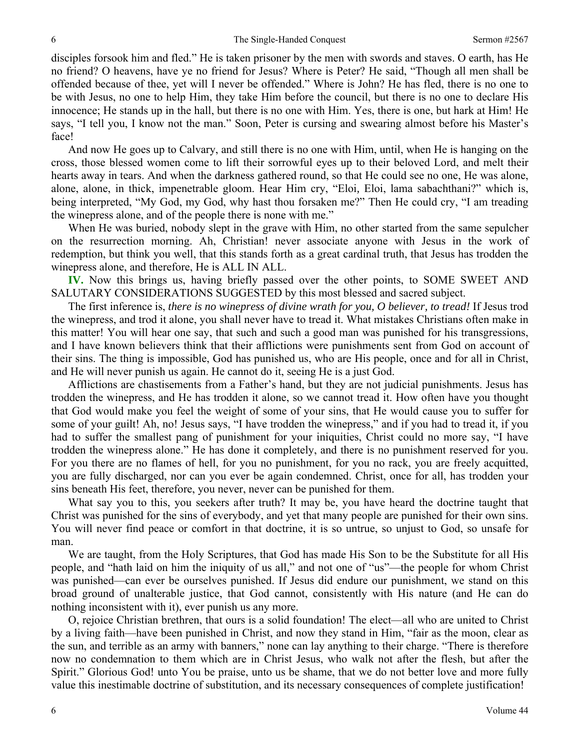disciples forsook him and fled." He is taken prisoner by the men with swords and staves. O earth, has He no friend? O heavens, have ye no friend for Jesus? Where is Peter? He said, "Though all men shall be offended because of thee, yet will I never be offended." Where is John? He has fled, there is no one to be with Jesus, no one to help Him, they take Him before the council, but there is no one to declare His innocence; He stands up in the hall, but there is no one with Him. Yes, there is one, but hark at Him! He says, "I tell you, I know not the man." Soon, Peter is cursing and swearing almost before his Master's face!

And now He goes up to Calvary, and still there is no one with Him, until, when He is hanging on the cross, those blessed women come to lift their sorrowful eyes up to their beloved Lord, and melt their hearts away in tears. And when the darkness gathered round, so that He could see no one, He was alone, alone, alone, in thick, impenetrable gloom. Hear Him cry, "Eloi*,* Eloi, lama sabachthani?" which is, being interpreted, "My God, my God, why hast thou forsaken me?" Then He could cry, "I am treading the winepress alone, and of the people there is none with me."

When He was buried, nobody slept in the grave with Him, no other started from the same sepulcher on the resurrection morning. Ah, Christian! never associate anyone with Jesus in the work of redemption, but think you well, that this stands forth as a great cardinal truth, that Jesus has trodden the winepress alone, and therefore, He is ALL IN ALL.

**IV.** Now this brings us, having briefly passed over the other points, to SOME SWEET AND SALUTARY CONSIDERATIONS SUGGESTED by this most blessed and sacred subject.

The first inference is, *there is no winepress of divine wrath for you, O believer, to tread!* If Jesus trod the winepress, and trod it alone, you shall never have to tread it. What mistakes Christians often make in this matter! You will hear one say, that such and such a good man was punished for his transgressions, and I have known believers think that their afflictions were punishments sent from God on account of their sins. The thing is impossible, God has punished us, who are His people, once and for all in Christ, and He will never punish us again. He cannot do it, seeing He is a just God.

Afflictions are chastisements from a Father's hand, but they are not judicial punishments. Jesus has trodden the winepress, and He has trodden it alone, so we cannot tread it. How often have you thought that God would make you feel the weight of some of your sins, that He would cause you to suffer for some of your guilt! Ah, no! Jesus says, "I have trodden the winepress," and if you had to tread it, if you had to suffer the smallest pang of punishment for your iniquities, Christ could no more say, "I have trodden the winepress alone." He has done it completely, and there is no punishment reserved for you. For you there are no flames of hell, for you no punishment, for you no rack, you are freely acquitted, you are fully discharged, nor can you ever be again condemned. Christ, once for all, has trodden your sins beneath His feet, therefore, you never, never can be punished for them.

What say you to this, you seekers after truth? It may be, you have heard the doctrine taught that Christ was punished for the sins of everybody, and yet that many people are punished for their own sins. You will never find peace or comfort in that doctrine, it is so untrue, so unjust to God, so unsafe for man.

We are taught, from the Holy Scriptures, that God has made His Son to be the Substitute for all His people, and "hath laid on him the iniquity of us all," and not one of "us"—the people for whom Christ was punished—can ever be ourselves punished. If Jesus did endure our punishment, we stand on this broad ground of unalterable justice, that God cannot, consistently with His nature (and He can do nothing inconsistent with it), ever punish us any more.

O, rejoice Christian brethren, that ours is a solid foundation! The elect—all who are united to Christ by a living faith—have been punished in Christ, and now they stand in Him, "fair as the moon, clear as the sun, and terrible as an army with banners," none can lay anything to their charge. "There is therefore now no condemnation to them which are in Christ Jesus, who walk not after the flesh, but after the Spirit." Glorious God! unto You be praise, unto us be shame, that we do not better love and more fully value this inestimable doctrine of substitution, and its necessary consequences of complete justification!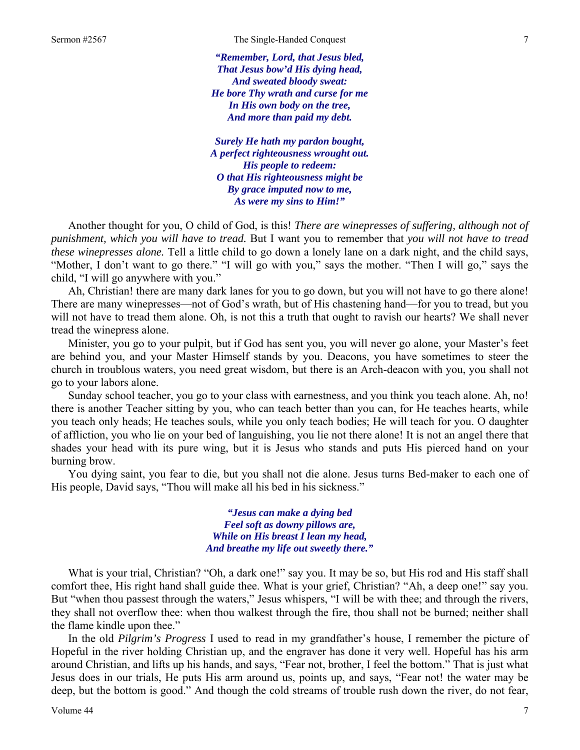*"Remember, Lord, that Jesus bled, That Jesus bow'd His dying head, And sweated bloody sweat: He bore Thy wrath and curse for me In His own body on the tree, And more than paid my debt.* 

*Surely He hath my pardon bought, A perfect righteousness wrought out. His people to redeem: O that His righteousness might be By grace imputed now to me, As were my sins to Him!"* 

Another thought for you, O child of God, is this! *There are winepresses of suffering, although not of punishment, which you will have to tread.* But I want you to remember that *you will not have to tread these winepresses alone.* Tell a little child to go down a lonely lane on a dark night, and the child says, "Mother, I don't want to go there." "I will go with you," says the mother. "Then I will go," says the child, "I will go anywhere with you."

Ah, Christian! there are many dark lanes for you to go down, but you will not have to go there alone! There are many winepresses—not of God's wrath, but of His chastening hand—for you to tread, but you will not have to tread them alone. Oh, is not this a truth that ought to ravish our hearts? We shall never tread the winepress alone.

Minister, you go to your pulpit, but if God has sent you, you will never go alone, your Master's feet are behind you, and your Master Himself stands by you. Deacons, you have sometimes to steer the church in troublous waters, you need great wisdom, but there is an Arch-deacon with you, you shall not go to your labors alone.

Sunday school teacher, you go to your class with earnestness, and you think you teach alone. Ah, no! there is another Teacher sitting by you, who can teach better than you can, for He teaches hearts, while you teach only heads; He teaches souls, while you only teach bodies; He will teach for you. O daughter of affliction, you who lie on your bed of languishing, you lie not there alone! It is not an angel there that shades your head with its pure wing, but it is Jesus who stands and puts His pierced hand on your burning brow.

You dying saint, you fear to die, but you shall not die alone. Jesus turns Bed-maker to each one of His people, David says, "Thou will make all his bed in his sickness."

> *"Jesus can make a dying bed Feel soft as downy pillows are, While on His breast I lean my head, And breathe my life out sweetly there."*

What is your trial, Christian? "Oh, a dark one!" say you. It may be so, but His rod and His staff shall comfort thee, His right hand shall guide thee. What is your grief, Christian? "Ah, a deep one!" say you. But "when thou passest through the waters," Jesus whispers, "I will be with thee; and through the rivers, they shall not overflow thee: when thou walkest through the fire, thou shall not be burned; neither shall the flame kindle upon thee."

In the old *Pilgrim's Progress* I used to read in my grandfather's house, I remember the picture of Hopeful in the river holding Christian up, and the engraver has done it very well. Hopeful has his arm around Christian, and lifts up his hands, and says, "Fear not, brother, I feel the bottom." That is just what Jesus does in our trials, He puts His arm around us, points up, and says, "Fear not! the water may be deep, but the bottom is good." And though the cold streams of trouble rush down the river, do not fear,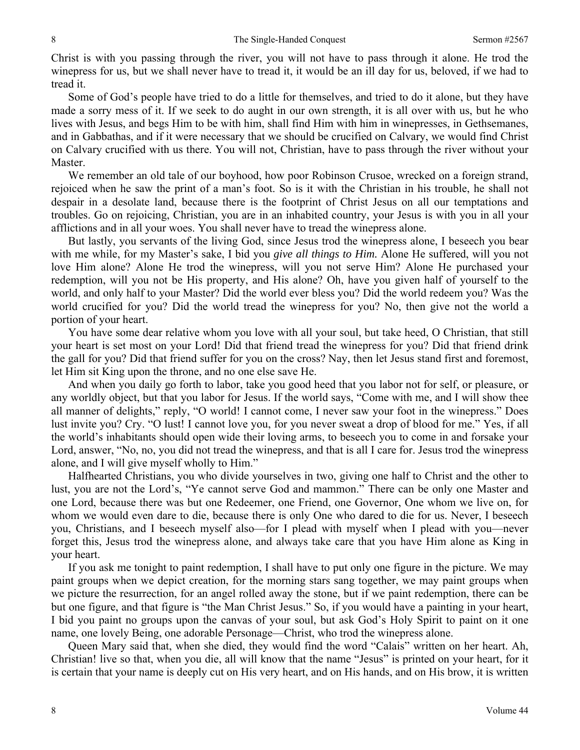Christ is with you passing through the river, you will not have to pass through it alone. He trod the winepress for us, but we shall never have to tread it, it would be an ill day for us, beloved, if we had to tread it.

Some of God's people have tried to do a little for themselves, and tried to do it alone, but they have made a sorry mess of it. If we seek to do aught in our own strength, it is all over with us, but he who lives with Jesus, and begs Him to be with him, shall find Him with him in winepresses, in Gethsemanes, and in Gabbathas, and if it were necessary that we should be crucified on Calvary, we would find Christ on Calvary crucified with us there. You will not, Christian, have to pass through the river without your Master.

We remember an old tale of our boyhood, how poor Robinson Crusoe, wrecked on a foreign strand, rejoiced when he saw the print of a man's foot. So is it with the Christian in his trouble, he shall not despair in a desolate land, because there is the footprint of Christ Jesus on all our temptations and troubles. Go on rejoicing, Christian, you are in an inhabited country, your Jesus is with you in all your afflictions and in all your woes. You shall never have to tread the winepress alone.

But lastly, you servants of the living God, since Jesus trod the winepress alone, I beseech you bear with me while, for my Master's sake, I bid you *give all things to Him.* Alone He suffered, will you not love Him alone? Alone He trod the winepress, will you not serve Him? Alone He purchased your redemption, will you not be His property, and His alone? Oh, have you given half of yourself to the world, and only half to your Master? Did the world ever bless you? Did the world redeem you? Was the world crucified for you? Did the world tread the winepress for you? No, then give not the world a portion of your heart.

You have some dear relative whom you love with all your soul, but take heed, O Christian, that still your heart is set most on your Lord! Did that friend tread the winepress for you? Did that friend drink the gall for you? Did that friend suffer for you on the cross? Nay, then let Jesus stand first and foremost, let Him sit King upon the throne, and no one else save He.

And when you daily go forth to labor, take you good heed that you labor not for self, or pleasure, or any worldly object, but that you labor for Jesus. If the world says, "Come with me, and I will show thee all manner of delights," reply, "O world! I cannot come, I never saw your foot in the winepress." Does lust invite you? Cry. "O lust! I cannot love you, for you never sweat a drop of blood for me." Yes, if all the world's inhabitants should open wide their loving arms, to beseech you to come in and forsake your Lord, answer, "No, no, you did not tread the winepress, and that is all I care for. Jesus trod the winepress alone, and I will give myself wholly to Him."

Halfhearted Christians, you who divide yourselves in two, giving one half to Christ and the other to lust, you are not the Lord's, "Ye cannot serve God and mammon." There can be only one Master and one Lord, because there was but one Redeemer, one Friend, one Governor, One whom we live on, for whom we would even dare to die, because there is only One who dared to die for us. Never, I beseech you, Christians, and I beseech myself also—for I plead with myself when I plead with you—never forget this, Jesus trod the winepress alone, and always take care that you have Him alone as King in your heart.

If you ask me tonight to paint redemption, I shall have to put only one figure in the picture. We may paint groups when we depict creation, for the morning stars sang together, we may paint groups when we picture the resurrection, for an angel rolled away the stone, but if we paint redemption, there can be but one figure, and that figure is "the Man Christ Jesus." So, if you would have a painting in your heart, I bid you paint no groups upon the canvas of your soul, but ask God's Holy Spirit to paint on it one name, one lovely Being, one adorable Personage—Christ, who trod the winepress alone.

Queen Mary said that, when she died, they would find the word "Calais" written on her heart. Ah, Christian! live so that, when you die, all will know that the name "Jesus" is printed on your heart, for it is certain that your name is deeply cut on His very heart, and on His hands, and on His brow, it is written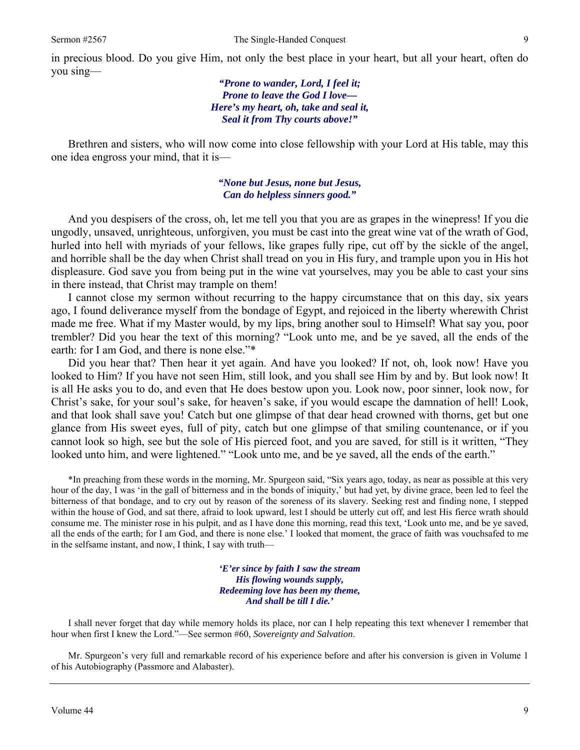in precious blood. Do you give Him, not only the best place in your heart, but all your heart, often do you sing—

> *"Prone to wander, Lord, I feel it; Prone to leave the God I love— Here's my heart, oh, take and seal it, Seal it from Thy courts above!"*

Brethren and sisters, who will now come into close fellowship with your Lord at His table, may this one idea engross your mind, that it is—

> *"None but Jesus, none but Jesus, Can do helpless sinners good."*

And you despisers of the cross, oh, let me tell you that you are as grapes in the winepress! If you die ungodly, unsaved, unrighteous, unforgiven, you must be cast into the great wine vat of the wrath of God, hurled into hell with myriads of your fellows, like grapes fully ripe, cut off by the sickle of the angel, and horrible shall be the day when Christ shall tread on you in His fury, and trample upon you in His hot displeasure. God save you from being put in the wine vat yourselves, may you be able to cast your sins in there instead, that Christ may trample on them!

I cannot close my sermon without recurring to the happy circumstance that on this day, six years ago, I found deliverance myself from the bondage of Egypt, and rejoiced in the liberty wherewith Christ made me free. What if my Master would, by my lips, bring another soul to Himself! What say you, poor trembler? Did you hear the text of this morning? "Look unto me, and be ye saved, all the ends of the earth: for I am God, and there is none else."\*

Did you hear that? Then hear it yet again. And have you looked? If not, oh, look now! Have you looked to Him? If you have not seen Him, still look, and you shall see Him by and by. But look now! It is all He asks you to do, and even that He does bestow upon you. Look now, poor sinner, look now, for Christ's sake, for your soul's sake, for heaven's sake, if you would escape the damnation of hell! Look, and that look shall save you! Catch but one glimpse of that dear head crowned with thorns, get but one glance from His sweet eyes, full of pity, catch but one glimpse of that smiling countenance, or if you cannot look so high, see but the sole of His pierced foot, and you are saved, for still is it written, "They looked unto him, and were lightened." "Look unto me, and be ye saved, all the ends of the earth."

\*In preaching from these words in the morning, Mr. Spurgeon said, "Six years ago, today, as near as possible at this very hour of the day, I was 'in the gall of bitterness and in the bonds of iniquity,' but had yet, by divine grace, been led to feel the bitterness of that bondage, and to cry out by reason of the soreness of its slavery. Seeking rest and finding none, I stepped within the house of God, and sat there, afraid to look upward, lest I should be utterly cut off, and lest His fierce wrath should consume me. The minister rose in his pulpit, and as I have done this morning, read this text, 'Look unto me, and be ye saved, all the ends of the earth; for I am God, and there is none else.' I looked that moment, the grace of faith was vouchsafed to me in the selfsame instant, and now, I think, I say with truth—

> *'E'er since by faith I saw the stream His flowing wounds supply, Redeeming love has been my theme, And shall be till I die.'*

I shall never forget that day while memory holds its place, nor can I help repeating this text whenever I remember that hour when first I knew the Lord."—See sermon #60, *Sovereignty and Salvation*.

Mr. Spurgeon's very full and remarkable record of his experience before and after his conversion is given in Volume 1 of his Autobiography (Passmore and Alabaster).